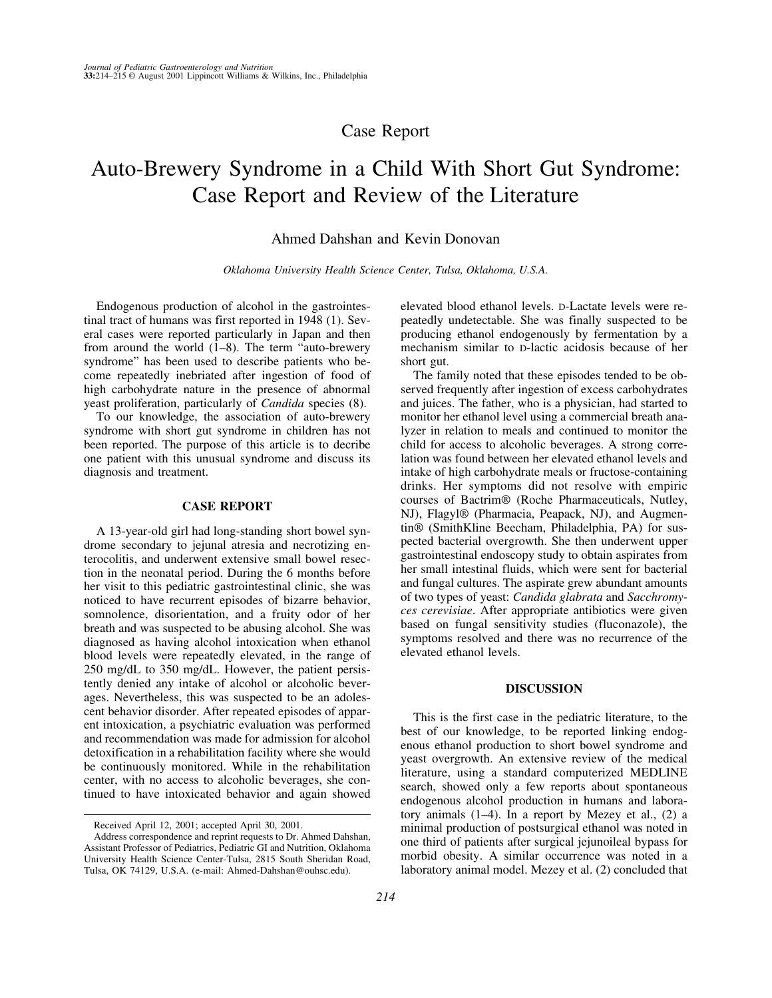# Case Report

# Auto-Brewery Syndrome in a Child With Short Gut Syndrome: Case Report and Review of the Literature

## Ahmed Dahshan and Kevin Donovan

*Oklahoma University Health Science Center, Tulsa, Oklahoma, U.S.A.*

Endogenous production of alcohol in the gastrointestinal tract of humans was first reported in 1948 (1). Several cases were reported particularly in Japan and then from around the world  $(1-8)$ . The term "auto-brewery syndrome" has been used to describe patients who become repeatedly inebriated after ingestion of food of high carbohydrate nature in the presence of abnormal yeast proliferation, particularly of *Candida* species (8).

To our knowledge, the association of auto-brewery syndrome with short gut syndrome in children has not been reported. The purpose of this article is to decribe one patient with this unusual syndrome and discuss its diagnosis and treatment.

### **CASE REPORT**

A 13-year-old girl had long-standing short bowel syndrome secondary to jejunal atresia and necrotizing enterocolitis, and underwent extensive small bowel resection in the neonatal period. During the 6 months before her visit to this pediatric gastrointestinal clinic, she was noticed to have recurrent episodes of bizarre behavior, somnolence, disorientation, and a fruity odor of her breath and was suspected to be abusing alcohol. She was diagnosed as having alcohol intoxication when ethanol blood levels were repeatedly elevated, in the range of 250 mg/dL to 350 mg/dL. However, the patient persistently denied any intake of alcohol or alcoholic beverages. Nevertheless, this was suspected to be an adolescent behavior disorder. After repeated episodes of apparent intoxication, a psychiatric evaluation was performed and recommendation was made for admission for alcohol detoxification in a rehabilitation facility where she would be continuously monitored. While in the rehabilitation center, with no access to alcoholic beverages, she continued to have intoxicated behavior and again showed

elevated blood ethanol levels. D-Lactate levels were repeatedly undetectable. She was finally suspected to be producing ethanol endogenously by fermentation by a mechanism similar to D-lactic acidosis because of her short gut.

The family noted that these episodes tended to be observed frequently after ingestion of excess carbohydrates and juices. The father, who is a physician, had started to monitor her ethanol level using a commercial breath analyzer in relation to meals and continued to monitor the child for access to alcoholic beverages. A strong correlation was found between her elevated ethanol levels and intake of high carbohydrate meals or fructose-containing drinks. Her symptoms did not resolve with empiric courses of Bactrim® (Roche Pharmaceuticals, Nutley, NJ), Flagyl® (Pharmacia, Peapack, NJ), and Augmentin® (SmithKline Beecham, Philadelphia, PA) for suspected bacterial overgrowth. She then underwent upper gastrointestinal endoscopy study to obtain aspirates from her small intestinal fluids, which were sent for bacterial and fungal cultures. The aspirate grew abundant amounts of two types of yeast: *Candida glabrata* and *Sacchromyces cerevisiae*. After appropriate antibiotics were given based on fungal sensitivity studies (fluconazole), the symptoms resolved and there was no recurrence of the elevated ethanol levels.

#### **DISCUSSION**

This is the first case in the pediatric literature, to the best of our knowledge, to be reported linking endogenous ethanol production to short bowel syndrome and yeast overgrowth. An extensive review of the medical literature, using a standard computerized MEDLINE search, showed only a few reports about spontaneous endogenous alcohol production in humans and laboratory animals (1–4). In a report by Mezey et al., (2) a minimal production of postsurgical ethanol was noted in one third of patients after surgical jejunoileal bypass for morbid obesity. A similar occurrence was noted in a laboratory animal model. Mezey et al. (2) concluded that

Received April 12, 2001; accepted April 30, 2001.

Address correspondence and reprint requests to Dr. Ahmed Dahshan, Assistant Professor of Pediatrics, Pediatric GI and Nutrition, Oklahoma University Health Science Center-Tulsa, 2815 South Sheridan Road, Tulsa, OK 74129, U.S.A. (e-mail: Ahmed-Dahshan@ouhsc.edu).